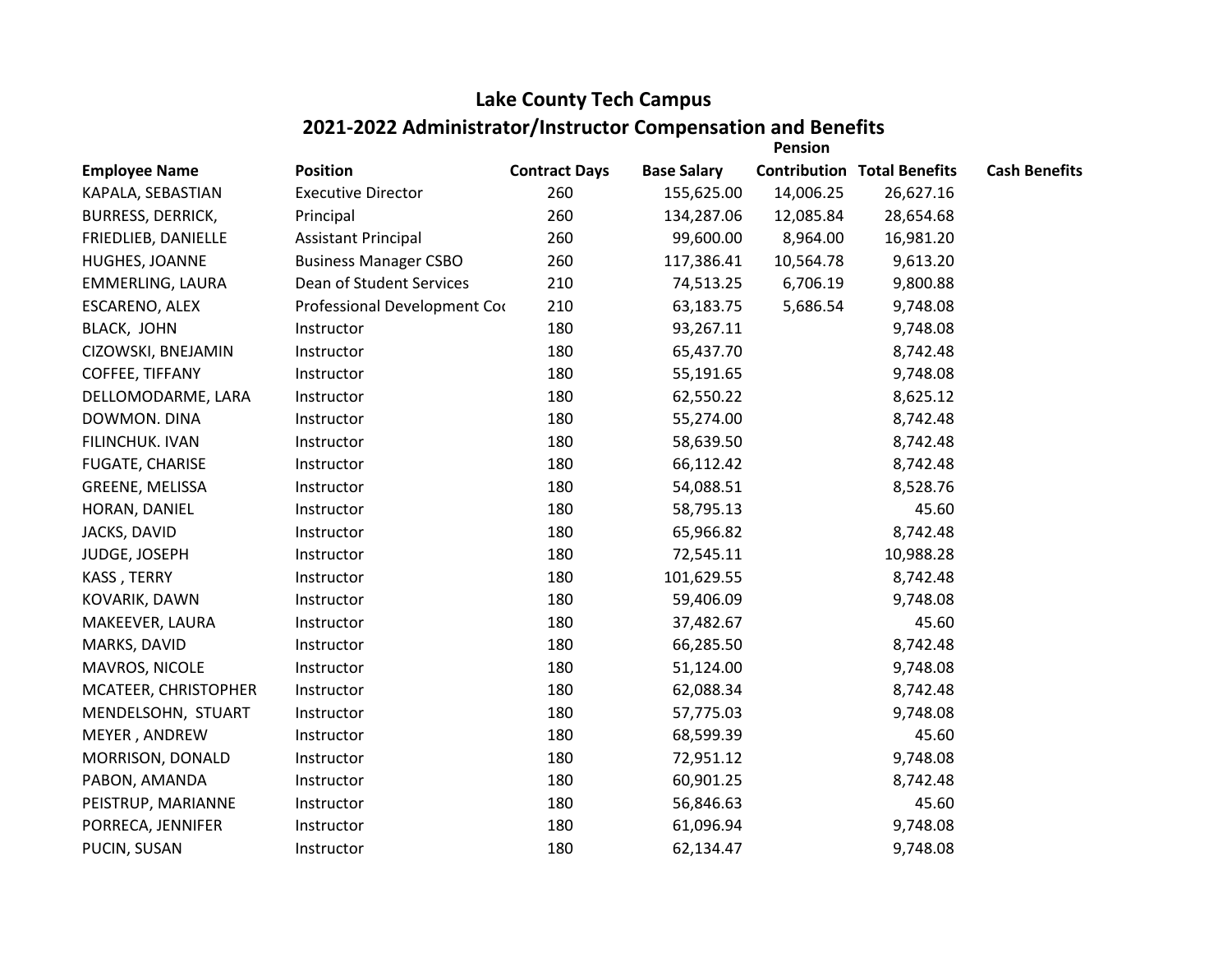## **Lake County Tech Campus 2021-2022 Administrator/Instructor Compensation and Benefits**

|                          |                              |                      |                    | <b>Pension</b> |                                    |                      |
|--------------------------|------------------------------|----------------------|--------------------|----------------|------------------------------------|----------------------|
| <b>Employee Name</b>     | <b>Position</b>              | <b>Contract Days</b> | <b>Base Salary</b> |                | <b>Contribution Total Benefits</b> | <b>Cash Benefits</b> |
| KAPALA, SEBASTIAN        | <b>Executive Director</b>    | 260                  | 155,625.00         | 14,006.25      | 26,627.16                          |                      |
| <b>BURRESS, DERRICK,</b> | Principal                    | 260                  | 134,287.06         | 12,085.84      | 28,654.68                          |                      |
| FRIEDLIEB, DANIELLE      | <b>Assistant Principal</b>   | 260                  | 99,600.00          | 8,964.00       | 16,981.20                          |                      |
| HUGHES, JOANNE           | <b>Business Manager CSBO</b> | 260                  | 117,386.41         | 10,564.78      | 9,613.20                           |                      |
| <b>EMMERLING, LAURA</b>  | Dean of Student Services     | 210                  | 74,513.25          | 6,706.19       | 9,800.88                           |                      |
| ESCARENO, ALEX           | Professional Development Cor | 210                  | 63,183.75          | 5,686.54       | 9,748.08                           |                      |
| BLACK, JOHN              | Instructor                   | 180                  | 93,267.11          |                | 9,748.08                           |                      |
| CIZOWSKI, BNEJAMIN       | Instructor                   | 180                  | 65,437.70          |                | 8,742.48                           |                      |
| COFFEE, TIFFANY          | Instructor                   | 180                  | 55,191.65          |                | 9,748.08                           |                      |
| DELLOMODARME, LARA       | Instructor                   | 180                  | 62,550.22          |                | 8,625.12                           |                      |
| DOWMON. DINA             | Instructor                   | 180                  | 55,274.00          |                | 8,742.48                           |                      |
| FILINCHUK. IVAN          | Instructor                   | 180                  | 58,639.50          |                | 8,742.48                           |                      |
| FUGATE, CHARISE          | Instructor                   | 180                  | 66,112.42          |                | 8,742.48                           |                      |
| GREENE, MELISSA          | Instructor                   | 180                  | 54,088.51          |                | 8,528.76                           |                      |
| HORAN, DANIEL            | Instructor                   | 180                  | 58,795.13          |                | 45.60                              |                      |
| JACKS, DAVID             | Instructor                   | 180                  | 65,966.82          |                | 8,742.48                           |                      |
| JUDGE, JOSEPH            | Instructor                   | 180                  | 72,545.11          |                | 10,988.28                          |                      |
| KASS, TERRY              | Instructor                   | 180                  | 101,629.55         |                | 8,742.48                           |                      |
| KOVARIK, DAWN            | Instructor                   | 180                  | 59,406.09          |                | 9,748.08                           |                      |
| MAKEEVER, LAURA          | Instructor                   | 180                  | 37,482.67          |                | 45.60                              |                      |
| MARKS, DAVID             | Instructor                   | 180                  | 66,285.50          |                | 8,742.48                           |                      |
| MAVROS, NICOLE           | Instructor                   | 180                  | 51,124.00          |                | 9,748.08                           |                      |
| MCATEER, CHRISTOPHER     | Instructor                   | 180                  | 62,088.34          |                | 8,742.48                           |                      |
| MENDELSOHN, STUART       | Instructor                   | 180                  | 57,775.03          |                | 9,748.08                           |                      |
| MEYER, ANDREW            | Instructor                   | 180                  | 68,599.39          |                | 45.60                              |                      |
| MORRISON, DONALD         | Instructor                   | 180                  | 72,951.12          |                | 9,748.08                           |                      |
| PABON, AMANDA            | Instructor                   | 180                  | 60,901.25          |                | 8,742.48                           |                      |
| PEISTRUP, MARIANNE       | Instructor                   | 180                  | 56,846.63          |                | 45.60                              |                      |
| PORRECA, JENNIFER        | Instructor                   | 180                  | 61,096.94          |                | 9,748.08                           |                      |
| PUCIN, SUSAN             | Instructor                   | 180                  | 62,134.47          |                | 9,748.08                           |                      |
|                          |                              |                      |                    |                |                                    |                      |